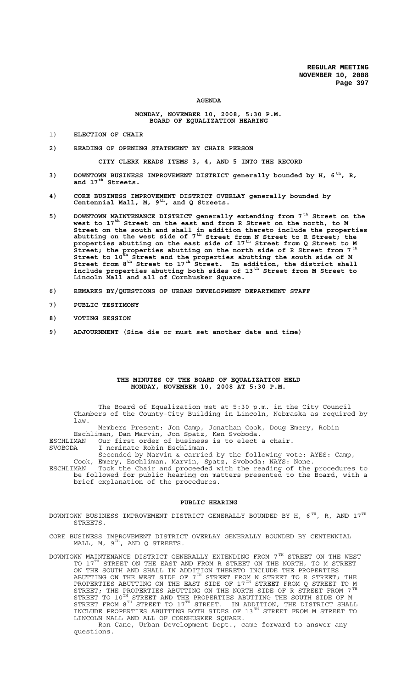#### **AGENDA**

## **MONDAY, NOVEMBER 10, 2008, 5:30 P.M. BOARD OF EQUALIZATION HEARING**

- 1) **ELECTION OF CHAIR**
- **2) READING OF OPENING STATEMENT BY CHAIR PERSON**

**CITY CLERK READS ITEMS 3, 4, AND 5 INTO THE RECORD**

- **3) DOWNTOWN BUSINESS IMPROVEMENT DISTRICT generally bounded by H, 6 th, R, and 17th Streets.**
- **4) CORE BUSINESS IMPROVEMENT DISTRICT OVERLAY generally bounded by Centennial Mall, M, 9th, and Q Streets.**
- **5) DOWNTOWN MAINTENANCE DISTRICT generally extending from 7th Street on the west to 17th Street on the east and from R Street on the north, to M Street on the south and shall in addition thereto include the properties abutting on the west side of 7th Street from N Street to R Street; the properties abutting on the east side of 17th Street from Q Street to M Street; the properties abutting on the north side of R Street from 7 th Street to 10th Street and the properties abutting the south side of M** Street from 8<sup>th</sup> Street to 17<sup>th</sup> Street. In addition, the district shall **include properties abutting both sides of 13th Street from M Street to Lincoln Mall and all of Cornhusker Square.**
- **6) REMARKS BY/QUESTIONS OF URBAN DEVELOPMENT DEPARTMENT STAFF**
- **7) PUBLIC TESTIMONY**
- **8) VOTING SESSION**
- **9) ADJOURNMENT (Sine die or must set another date and time)**

#### **THE MINUTES OF THE BOARD OF EQUALIZATION HELD MONDAY, NOVEMBER 10, 2008 AT 5:30 P.M.**

The Board of Equalization met at 5:30 p.m. in the City Council Chambers of the County-City Building in Lincoln, Nebraska as required by law.

Members Present: Jon Camp, Jonathan Cook, Doug Emery, Robin

Eschliman, Dan Marvin, Jon Spatz, Ken Svoboda.

ESCHLIMAN Our first order of business is to elect a chair.

SVOBODA I nominate Robin Eschliman.

Seconded by Marvin & carried by the following vote: AYES: Camp,

Cook, Emery, Eschliman, Marvin, Spatz, Svoboda; NAYS: None. ESCHLIMAN Took the Chair and proceeded with the reading of the procedures to be followed for public hearing on matters presented to the Board, with a

brief explanation of the procedures.

#### **PUBLIC HEARING**

- DOWNTOWN BUSINESS IMPROVEMENT DISTRICT GENERALLY BOUNDED BY H,  $6^{TH}$ , R, AND  $17^{TH}$ STREETS.
- CORE BUSINESS IMPROVEMENT DISTRICT OVERLAY GENERALLY BOUNDED BY CENTENNIAL MALL,  $M$ ,  $9^{TH}$ , AND Q STREETS.
- DOWNTOWN MAINTENANCE DISTRICT GENERALLY EXTENDING FROM  $7^{\,\mathrm{TH}}$  STREET ON THE WEST TO 17<sup>TH</sup> STREET ON THE EAST AND FROM R STREET ON THE NORTH, TO M STREET ON THE SOUTH AND SHALL IN ADDITION THERETO INCLUDE THE PROPERTIES ABUTTING ON THE WEST SIDE OF  $7^\mathrm{TH}$  STREET FROM N STREET TO R STREET; THE PROPERTIES ABUTTING ON THE EAST SIDE OF 17 $^{\text{\tiny{\textsf{TH}}}}$  STREET FROM Q STREET TO M STREET; THE PROPERTIES ABUTTING ON THE NORTH SIDE OF R STREET FROM  $7^{\,\mathrm{TH}}$ STREET TO  $10^\text{\tiny{TH}}$  STREET AND THE PROPERTIES ABUTTING THE SOUTH SIDE OF M STREET FROM  $8^{TH}$  STREET TO  $17^{TH}$  STREET. IN ADDITION, THE DISTRICT SHALL INCLUDE PROPERTIES ABUTTING BOTH SIDES OF 13<sup>TH</sup> STREET FROM M STREET TO LINCOLN MALL AND ALL OF CORNHUSKER SQUARE.

Ron Cane, Urban Development Dept., came forward to answer any questions.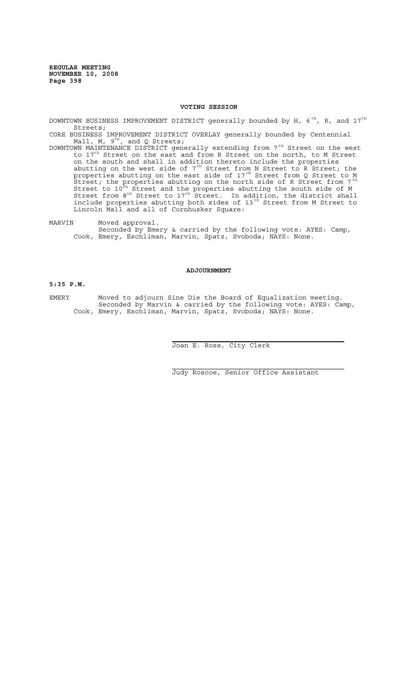## **VOTING SESSION**

DOWNTOWN BUSINESS IMPROVEMENT DISTRICT generally bounded by H,  $6^{th}$ , R, and  $17^{th}$ Streets;

CORE BUSINESS IMPROVEMENT DISTRICT OVERLAY generally bounded by Centennial Mall, M,  $9^{\text{th}}$ , and Q Streets;

DOWNTOWN MAINTENANCE DISTRICT generally extending from  $7^\mathrm{th}$  Street on the west to  $17<sup>th</sup>$  Street on the east and from R Street on the north, to M Street on the south and shall in addition thereto include the properties abutting on the west side of  $7<sup>th</sup>$  Street from N Street to R Street; the properties abutting on the east side of 17<sup>th</sup> Street from Q Street to M .<br>Street; the properties abutting on the north side of R Street from 7<sup>th</sup> Street to  $10^{\text{th}}$  Street and the properties abutting the south side of M Street from  $8^{th}$  Street to  $17^{th}$  Street. In addition, the district shall include properties abutting both sides of 13<sup>th</sup> Street from M Street to Lincoln Mall and all of Cornhusker Square:

MARVIN Moved approval. Seconded by Emery & carried by the following vote: AYES: Camp, Cook, Emery, Eschliman, Marvin, Spatz, Svoboda; NAYS: None.

#### **ADJOURNMENT**

### **5:35 P.M.**

EMERY Moved to adjourn Sine Die the Board of Equalization meeting. Seconded by Marvin & carried by the following vote: AYES: Camp, Cook, Emery, Eschliman, Marvin, Spatz, Svoboda; NAYS: None.

 $\overline{a}$ 

i<br>L

Joan E. Ross, City Clerk

Judy Roscoe, Senior Office Assistant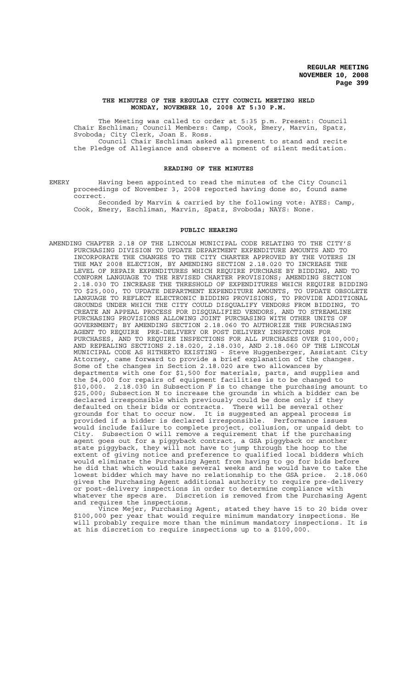#### **THE MINUTES OF THE REGULAR CITY COUNCIL MEETING HELD MONDAY, NOVEMBER 10, 2008 AT 5:30 P.M.**

The Meeting was called to order at 5:35 p.m. Present: Council Chair Eschliman; Council Members: Camp, Cook, Emery, Marvin, Spatz, Svoboda; City Clerk, Joan E. Ross. Council Chair Eschliman asked all present to stand and recite

the Pledge of Allegiance and observe a moment of silent meditation.

## **READING OF THE MINUTES**

EMERY Having been appointed to read the minutes of the City Council proceedings of November 3, 2008 reported having done so, found same correct.

Seconded by Marvin & carried by the following vote: AYES: Camp, Cook, Emery, Eschliman, Marvin, Spatz, Svoboda; NAYS: None.

#### **PUBLIC HEARING**

AMENDING CHAPTER 2.18 OF THE LINCOLN MUNICIPAL CODE RELATING TO THE CITY'S PURCHASING DIVISION TO UPDATE DEPARTMENT EXPENDITURE AMOUNTS AND TO INCORPORATE THE CHANGES TO THE CITY CHARTER APPROVED BY THE VOTERS IN THE MAY 2008 ELECTION, BY AMENDING SECTION 2.18.020 TO INCREASE THE LEVEL OF REPAIR EXPENDITURES WHICH REQUIRE PURCHASE BY BIDDING, AND TO CONFORM LANGUAGE TO THE REVISED CHARTER PROVISIONS; AMENDING SECTION 2.18.030 TO INCREASE THE THRESHOLD OF EXPENDITURES WHICH REQUIRE BIDDING TO \$25,000, TO UPDATE DEPARTMENT EXPENDITURE AMOUNTS, TO UPDATE OBSOLETE LANGUAGE TO REFLECT ELECTRONIC BIDDING PROVISIONS, TO PROVIDE ADDITIONAL GROUNDS UNDER WHICH THE CITY COULD DISQUALIFY VENDORS FROM BIDDING, TO CREATE AN APPEAL PROCESS FOR DISQUALIFIED VENDORS, AND TO STREAMLINE PURCHASING PROVISIONS ALLOWING JOINT PURCHASING WITH OTHER UNITS OF GOVERNMENT; BY AMENDING SECTION 2.18.060 TO AUTHORIZE THE PURCHASING AGENT TO REQUIRE PRE-DELIVERY OR POST DELIVERY INSPECTIONS FOR PURCHASES, AND TO REQUIRE INSPECTIONS FOR ALL PURCHASES OVER \$100,000; AND REPEALING SECTIONS 2.18.020, 2.18.030, AND 2.18.060 OF THE LINCOLN MUNICIPAL CODE AS HITHERTO EXISTING - Steve Huggenberger, Assistant City Attorney, came forward to provide a brief explanation of the changes. Some of the changes in Section 2.18.020 are two allowances by departments with one for \$1,500 for materials, parts, and supplies and the \$4,000 for repairs of equipment facilities is to be changed to \$10,000. 2.18.030 in Subsection F is to change the purchasing amount to \$25,000; Subsection N to increase the grounds in which a bidder can be declared irresponsible which previously could be done only if they defaulted on their bids or contracts. There will be several other grounds for that to occur now. It is suggested an appeal process is provided if a bidder is declared irresponsible. Performance issues would include failure to complete project, collusion, or unpaid debt to City. Subsection O will remove a requirement that if the purchasing agent goes out for a piggyback contract, a GSA piggyback or another state piggyback, they will not have to jump through the hoop to the extent of giving notice and preference to qualified local bidders which would eliminate the Purchasing Agent from having to go for bids before he did that which would take several weeks and he would have to take the lowest bidder which may have no relationship to the GSA price. 2.18.060 gives the Purchasing Agent additional authority to require pre-delivery or post-delivery inspections in order to determine compliance with whatever the specs are. Discretion is removed from the Purchasing Agent and requires the inspections.

Vince Mejer, Purchasing Agent, stated they have 15 to 20 bids over \$100,000 per year that would require minimum mandatory inspections. He will probably require more than the minimum mandatory inspections. It is at his discretion to require inspections up to a \$100,000.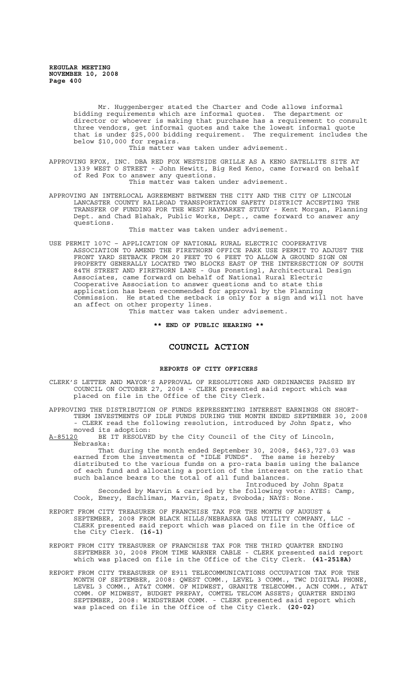Mr. Huggenberger stated the Charter and Code allows informal bidding requirements which are informal quotes. The department or director or whoever is making that purchase has a requirement to consult three vendors, get informal quotes and take the lowest informal quote that is under \$25,000 bidding requirement. The requirement includes the below \$10,000 for repairs.

This matter was taken under advisement.

APPROVING RFOX, INC. DBA RED FOX WESTSIDE GRILLE AS A KENO SATELLITE SITE AT 1339 WEST O STREET - John Hewitt, Big Red Keno, came forward on behalf of Red Fox to answer any questions.

This matter was taken under advisement.

APPROVING AN INTERLOCAL AGREEMENT BETWEEN THE CITY AND THE CITY OF LINCOLN LANCASTER COUNTY RAILROAD TRANSPORTATION SAFETY DISTRICT ACCEPTING THE TRANSFER OF FUNDING FOR THE WEST HAYMARKET STUDY - Kent Morgan, Planning Dept. and Chad Blahak, Public Works, Dept., came forward to answer any questions.

This matter was taken under advisement.

USE PERMIT 107C – APPLICATION OF NATIONAL RURAL ELECTRIC COOPERATIVE ASSOCIATION TO AMEND THE FIRETHORN OFFICE PARK USE PERMIT TO ADJUST THE FRONT YARD SETBACK FROM 20 FEET TO 6 FEET TO ALLOW A GROUND SIGN ON PROPERTY GENERALLY LOCATED TWO BLOCKS EAST OF THE INTERSECTION OF SOUTH 84TH STREET AND FIRETHORN LANE - Gus Ponstingl, Architectural Design Associates, came forward on behalf of National Rural Electric Cooperative Association to answer questions and to state this application has been recommended for approval by the Planning Commission. He stated the setback is only for a sign and will not have an affect on other property lines.

This matter was taken under advisement.

**\*\* END OF PUBLIC HEARING \*\***

# **COUNCIL ACTION**

# **REPORTS OF CITY OFFICERS**

CLERK'S LETTER AND MAYOR'S APPROVAL OF RESOLUTIONS AND ORDINANCES PASSED BY COUNCIL ON OCTOBER 27, 2008 - CLERK presented said report which was placed on file in the Office of the City Clerk.

APPROVING THE DISTRIBUTION OF FUNDS REPRESENTING INTEREST EARNINGS ON SHORT-TERM INVESTMENTS OF IDLE FUNDS DURING THE MONTH ENDED SEPTEMBER 30, 2008 - CLERK read the following resolution, introduced by John Spatz, who

moved its adoption:<br>A-85120 BE IT RESOLVE BE IT RESOLVED by the City Council of the City of Lincoln, Nebraska:

That during the month ended September 30, 2008, \$463,727.03 was earned from the investments of "IDLE FUNDS". The same is hereby distributed to the various funds on a pro-rata basis using the balance of each fund and allocating a portion of the interest on the ratio that such balance bears to the total of all fund balances.

Introduced by John Spatz Seconded by Marvin & carried by the following vote: AYES: Camp, Cook, Emery, Eschliman, Marvin, Spatz, Svoboda; NAYS: None.

- REPORT FROM CITY TREASURER OF FRANCHISE TAX FOR THE MONTH OF AUGUST & SEPTEMBER, 2008 FROM BLACK HILLS/NEBRASKA GAS UTILITY COMPANY, LLC - CLERK presented said report which was placed on file in the Office of the City Clerk. **(16-1)**
- REPORT FROM CITY TREASURER OF FRANCHISE TAX FOR THE THIRD QUARTER ENDING SEPTEMBER 30, 2008 FROM TIME WARNER CABLE - CLERK presented said report which was placed on file in the Office of the City Clerk. **(41-2518A)**
- REPORT FROM CITY TREASURER OF E911 TELECOMMUNICATIONS OCCUPATION TAX FOR THE MONTH OF SEPTEMBER, 2008: QWEST COMM., LEVEL 3 COMM., TWC DIGITAL PHONE, LEVEL 3 COMM., AT&T COMM. OF MIDWEST, GRANITE TELECOMM., ACN COMM., AT&T COMM. OF MIDWEST, BUDGET PREPAY, COMTEL TELCOM ASSETS; QUARTER ENDING SEPTEMBER, 2008: WINDSTREAM COMM. - CLERK presented said report which was placed on file in the Office of the City Clerk. **(20-02)**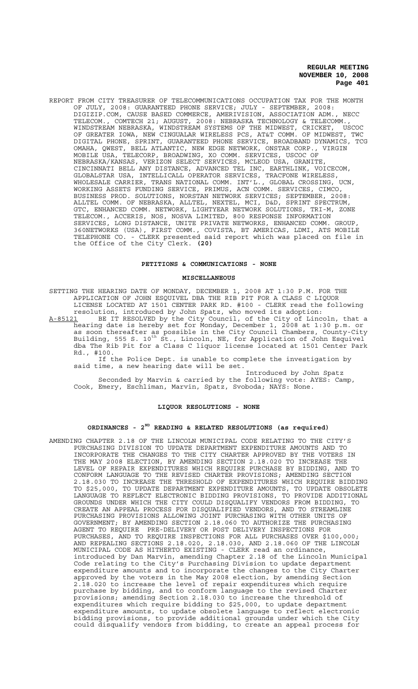REPORT FROM CITY TREASURER OF TELECOMMUNICATIONS OCCUPATION TAX FOR THE MONTH OF JULY, 2008: GUARANTEED PHONE SERVICE; JULY - SEPTEMBER, 2008: DIGIZIP.COM, CAUSE BASED COMMERCE, AMERIVISION, ASSOCIATION ADM., NECC TELECOM., COMTECH 21; AUGUST, 2008: NEBRASKA TECHNOLOGY & TELECOMM., WINDSTREAM NEBRASKA, WINDSTREAM SYSTEMS OF THE MIDWEST, CRICKET, USCOC OF GREATER IOWA, NEW CINGUALAR WIRELESS PCS, AT&T COMM. OF MIDWEST, TWC DIGITAL PHONE, SPRINT, GUARANTEED PHONE SERVICE, BROADBAND DYNAMICS, TCG OMAHA, QWEST, BELL ATLANTIC, NEW EDGE NETWORK, ONSTAR CORP., VIRGIN MOBILE USA, TELECORP, BROADWING, XO COMM. SERVICES, USCOC OF NEBRASKA/KANSAS, VERIZON SELECT SERVICES, MCLEOD USA, GRANITE, CINCINNATI BELL ANY DISTANCE, ADVANCED TEL INC, EARTHLINK, VOICECOM, GLOBALSTAR USA, INTELLICALL OPERATOR SERVICES, TRACFONE WIRELESS, WHOLESALE CARRIER, TRANS NATIONAL COMM. INT'L., GLOBAL CROSSING, UCN, WORKING ASSETS FUNDING SERVICE, PRIMUS, ACN COMM. SERVICES, CIMCO, BUSINESS PROD. SOLUTIONS, NORSTAN NETWORK SERVICES; SEPTEMBER, 2008: ALLTEL COMM. OF NEBRASKA, ALLTEL, NEXTEL, MCI, D&D, SPRINT SPECTRUM, GTC, ENHANCED COMM. NETWORK, LIGHTYEAR NETWORK SOLUTIONS, TRI-M, ZONE TELECOM., ACCERIS, NOS, NOSVA LIMITED, 800 RESPONSE INFORMATION SERVICES, LONG DISTANCE, UNITE PRIVATE NETWORKS, ENHANCED COMM. GROUP, 360NETWORKS (USA), FIRST COMM., COVISTA, BT AMERICAS, LDMI, ATS MOBILE TELEPHONE CO. - CLERK presented said report which was placed on file in the Office of the City Clerk. **(20)**

## **PETITIONS & COMMUNICATIONS - NONE**

#### **MISCELLANEOUS**

SETTING THE HEARING DATE OF MONDAY, DECEMBER 1, 2008 AT 1:30 P.M. FOR THE APPLICATION OF JOHN ESQUIVEL DBA THE RIB PIT FOR A CLASS C LIQUOR LICENSE LOCATED AT 1501 CENTER PARK RD. #100 - CLERK read the following resolution, introduced by John Spatz, who moved its adoption:

A-85121 BE IT RESOLVED by the City Council, of the City of Lincoln, that a hearing date is hereby set for Monday, December 1, 2008 at 1:30 p.m. or as soon thereafter as possible in the City Council Chambers, County-City Building, 555 S. 10<sup>th</sup> St., Lincoln, NE, for Application of John Esquivel dba The Rib Pit for a Class C liquor license located at 1501 Center Park Rd., #100.

If the Police Dept. is unable to complete the investigation by said time, a new hearing date will be set.

Introduced by John Spatz Seconded by Marvin & carried by the following vote: AYES: Camp, Cook, Emery, Eschliman, Marvin, Spatz, Svoboda; NAYS: None.

# **LIQUOR RESOLUTIONS - NONE**

# **ORDINANCES - 2ND READING & RELATED RESOLUTIONS (as required)**

AMENDING CHAPTER 2.18 OF THE LINCOLN MUNICIPAL CODE RELATING TO THE CITY'S PURCHASING DIVISION TO UPDATE DEPARTMENT EXPENDITURE AMOUNTS AND TO INCORPORATE THE CHANGES TO THE CITY CHARTER APPROVED BY THE VOTERS IN THE MAY 2008 ELECTION, BY AMENDING SECTION 2.18.020 TO INCREASE THE LEVEL OF REPAIR EXPENDITURES WHICH REQUIRE PURCHASE BY BIDDING, AND TO CONFORM LANGUAGE TO THE REVISED CHARTER PROVISIONS; AMENDING SECTION 2.18.030 TO INCREASE THE THRESHOLD OF EXPENDITURES WHICH REQUIRE BIDDING TO \$25,000, TO UPDATE DEPARTMENT EXPENDITURE AMOUNTS, TO UPDATE OBSOLETE LANGUAGE TO REFLECT ELECTRONIC BIDDING PROVISIONS, TO PROVIDE ADDITIONAL GROUNDS UNDER WHICH THE CITY COULD DISQUALIFY VENDORS FROM BIDDING, TO CREATE AN APPEAL PROCESS FOR DISQUALIFIED VENDORS, AND TO STREAMLINE PURCHASING PROVISIONS ALLOWING JOINT PURCHASING WITH OTHER UNITS OF GOVERNMENT; BY AMENDING SECTION 2.18.060 TO AUTHORIZE THE PURCHASING AGENT TO REQUIRE PRE-DELIVERY OR POST DELIVERY INSPECTIONS FOR PURCHASES, AND TO REQUIRE INSPECTIONS FOR ALL PURCHASES OVER \$100,000; AND REPEALING SECTIONS 2.18.020, 2.18.030, AND 2.18.060 OF THE LINCOLN MUNICIPAL CODE AS HITHERTO EXISTING - CLERK read an ordinance, introduced by Dan Marvin, amending Chapter 2.18 of the Lincoln Municipal Code relating to the City's Purchasing Division to update department expenditure amounts and to incorporate the changes to the City Charter approved by the voters in the May 2008 election, by amending Section 2.18.020 to increase the level of repair expenditures which require purchase by bidding, and to conform language to the revised Charter provisions; amending Section 2.18.030 to increase the threshold of expenditures which require bidding to \$25,000, to update department expenditure amounts, to update obsolete language to reflect electronic bidding provisions, to provide additional grounds under which the City could disqualify vendors from bidding, to create an appeal process for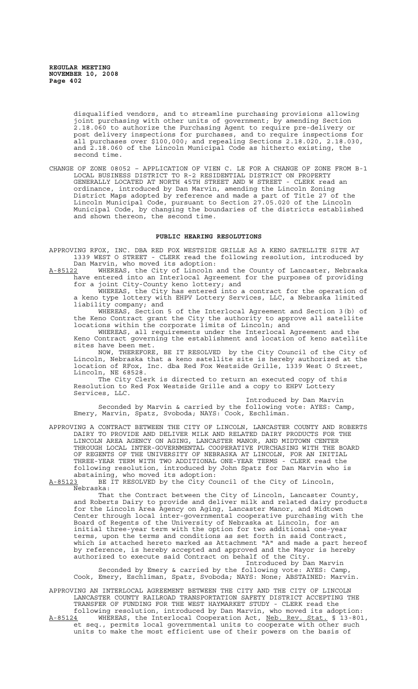disqualified vendors, and to streamline purchasing provisions allowing joint purchasing with other units of government; by amending Section 2.18.060 to authorize the Purchasing Agent to require pre-delivery or post delivery inspections for purchases, and to require inspections for all purchases over \$100,000; and repealing Sections 2.18.020, 2.18.030, and 2.18.060 of the Lincoln Municipal Code as hitherto existing, the second time.

CHANGE OF ZONE 08052 – APPLICATION OF VIEN C. LE FOR A CHANGE OF ZONE FROM B-1 LOCAL BUSINESS DISTRICT TO R-2 RESIDENTIAL DISTRICT ON PROPERTY GENERALLY LOCATED AT NORTH 45TH STREET AND W STREET - CLERK read an ordinance, introduced by Dan Marvin, amending the Lincoln Zoning District Maps adopted by reference and made a part of Title 27 of the Lincoln Municipal Code, pursuant to Section 27.05.020 of the Lincoln Municipal Code, by changing the boundaries of the districts established and shown thereon, the second time.

# **PUBLIC HEARING RESOLUTIONS**

APPROVING RFOX, INC. DBA RED FOX WESTSIDE GRILLE AS A KENO SATELLITE SITE AT 1339 WEST O STREET - CLERK read the following resolution, introduced by Dan Marvin, who moved its adoption:

A-85122 WHEREAS, the City of Lincoln and the County of Lancaster, Nebraska have entered into an Interlocal Agreement for the purposes of providing for a joint City-County keno lottery; and

WHEREAS, the City has entered into a contract for the operation of a keno type lottery with EHPV Lottery Services, LLC, a Nebraska limited liability company; and

WHEREAS, Section 5 of the Interlocal Agreement and Section 3(b) of the Keno Contract grant the City the authority to approve all satellite locations within the corporate limits of Lincoln; and

WHEREAS, all requirements under the Interlocal Agreement and the Keno Contract governing the establishment and location of keno satellite sites have been met.

NOW, THEREFORE, BE IT RESOLVED by the City Council of the City of Lincoln, Nebraska that a keno satellite site is hereby authorized at the location of RFox, Inc. dba Red Fox Westside Grille, 1339 West O Street, Lincoln, NE 68528.

The City Clerk is directed to return an executed copy of this Resolution to Red Fox Westside Grille and a copy to EHPV Lottery Services, LLC.

Introduced by Dan Marvin Seconded by Marvin & carried by the following vote: AYES: Camp, Emery, Marvin, Spatz, Svoboda; NAYS: Cook, Eschliman.

APPROVING A CONTRACT BETWEEN THE CITY OF LINCOLN, LANCASTER COUNTY AND ROBERTS DAIRY TO PROVIDE AND DELIVER MILK AND RELATED DAIRY PRODUCTS FOR THE LINCOLN AREA AGENCY ON AGING, LANCASTER MANOR, AND MIDTOWN CENTER THROUGH LOCAL INTER-GOVERNMENTAL COOPERATIVE PURCHASING WITH THE BOARD OF REGENTS OF THE UNIVERSITY OF NEBRASKA AT LINCOLN, FOR AN INITIAL THREE-YEAR TERM WITH TWO ADDITIONAL ONE-YEAR TERMS - CLERK read the following resolution, introduced by John Spatz for Dan Marvin who is abstaining, who moved its adoption:

A-85123 BE IT RESOLVED by the City Council of the City of Lincoln, Nebraska:

That the Contract between the City of Lincoln, Lancaster County, and Roberts Dairy to provide and deliver milk and related dairy products for the Lincoln Area Agency on Aging, Lancaster Manor, and Midtown Center through local inter-governmental cooperative purchasing with the Board of Regents of the University of Nebraska at Lincoln, for an initial three-year term with the option for two additional one-year terms, upon the terms and conditions as set forth in said Contract, which is attached hereto marked as Attachment "A" and made a part hereof by reference, is hereby accepted and approved and the Mayor is hereby authorized to execute said Contract on behalf of the City.

Introduced by Dan Marvin Seconded by Emery & carried by the following vote: AYES: Camp, Cook, Emery, Eschliman, Spatz, Svoboda; NAYS: None; ABSTAINED: Marvin.

APPROVING AN INTERLOCAL AGREEMENT BETWEEN THE CITY AND THE CITY OF LINCOLN LANCASTER COUNTY RAILROAD TRANSPORTATION SAFETY DISTRICT ACCEPTING THE TRANSFER OF FUNDING FOR THE WEST HAYMARKET STUDY - CLERK read the following resolution, introduced by Dan Marvin, who moved its adoption: A-85124 WHEREAS, the Interlocal Cooperation Act, Neb. Rev. Stat. § 13-801, A-85124 WHEREAS, the Interlocal Cooperation Act, Neb. Rev. Stat. § 13-80<br>et seq., permits local governmental units to cooperate with other such units to make the most efficient use of their powers on the basis of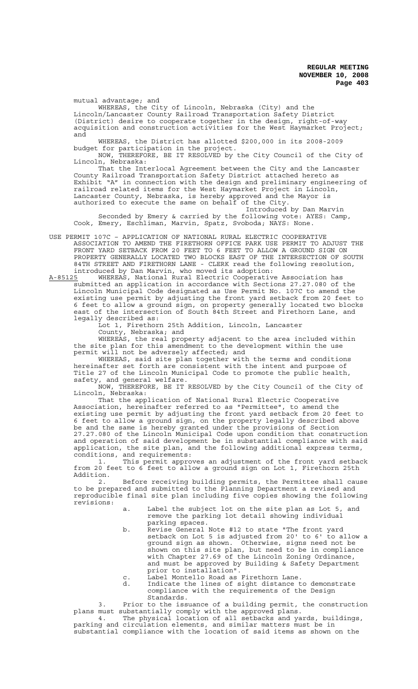mutual advantage; and

WHEREAS, the City of Lincoln, Nebraska (City) and the Lincoln/Lancaster County Railroad Transportation Safety District (District) desire to cooperate together in the design, right-of-way acquisition and construction activities for the West Haymarket Project; and

WHEREAS, the District has allotted \$200,000 in its 2008-2009 budget for participation in the project.

NOW, THEREFORE, BE IT RESOLVED by the City Council of the City of Lincoln, Nebraska:

That the Interlocal Agreement between the City and the Lancaster County Railroad Transportation Safety District attached hereto as Exhibit "A" in connection with the design and preliminary engineering of railroad related items for the West Haymarket Project in Lincoln, Lancaster County, Nebraska, is hereby approved and the Mayor is authorized to execute the same on behalf of the City.

Introduced by Dan Marvin Seconded by Emery & carried by the following vote: AYES: Camp, Cook, Emery, Eschliman, Marvin, Spatz, Svoboda; NAYS: None.

USE PERMIT 107C – APPLICATION OF NATIONAL RURAL ELECTRIC COOPERATIVE ASSOCIATION TO AMEND THE FIRETHORN OFFICE PARK USE PERMIT TO ADJUST THE FRONT YARD SETBACK FROM 20 FEET TO 6 FEET TO ALLOW A GROUND SIGN ON PROPERTY GENERALLY LOCATED TWO BLOCKS EAST OF THE INTERSECTION OF SOUTH 84TH STREET AND FIRETHORN LANE - CLERK read the following resolution, introduced by Dan Marvin, who moved its adoption:

A-85125 WHEREAS, National Rural Electric Cooperative Association has submitted an application in accordance with Sections 27.27.080 of the Lincoln Municipal Code designated as Use Permit No. 107C to amend the existing use permit by adjusting the front yard setback from 20 feet to 6 feet to allow a ground sign, on property generally located two blocks east of the intersection of South 84th Street and Firethorn Lane, and legally described as:

Lot 1, Firethorn 25th Addition, Lincoln, Lancaster County, Nebraska; and

WHEREAS, the real property adjacent to the area included within the site plan for this amendment to the development within the use permit will not be adversely affected; and

WHEREAS, said site plan together with the terms and conditions hereinafter set forth are consistent with the intent and purpose of Title 27 of the Lincoln Municipal Code to promote the public health, safety, and general welfare.

NOW, THEREFORE, BE IT RESOLVED by the City Council of the City of Lincoln, Nebraska:

That the application of National Rural Electric Cooperative Association, hereinafter referred to as "Permittee", to amend the existing use permit by adjusting the front yard setback from 20 feet to 6 feet to allow a ground sign, on the property legally described above be and the same is hereby granted under the provisions of Section 27.27.080 of the Lincoln Municipal Code upon condition that construction and operation of said development be in substantial compliance with said application, the site plan, and the following additional express terms, conditions, and requirements:

1. This permit approves an adjustment of the front yard setback from 20 feet to 6 feet to allow a ground sign on Lot 1, Firethorn 25th Addition.

2. Before receiving building permits, the Permittee shall cause to be prepared and submitted to the Planning Department a revised and reproducible final site plan including five copies showing the following revisions:

- a. Label the subject lot on the site plan as Lot 5, and remove the parking lot detail showing individual parking spaces.
- b. Revise General Note #12 to state "The front yard setback on Lot 5 is adjusted from 20' to 6' to allow a ground sign as shown. Otherwise, signs need not be shown on this site plan, but need to be in compliance with Chapter 27.69 of the Lincoln Zoning Ordinance, and must be approved by Building & Safety Department prior to installation".
- c. Label Montello Road as Firethorn Lane.
- d. Indicate the lines of sight distance to demonstrate compliance with the requirements of the Design Standards.

3. Prior to the issuance of a building permit, the construction plans must substantially comply with the approved plans.

4. The physical location of all setbacks and yards, buildings, parking and circulation elements, and similar matters must be in substantial compliance with the location of said items as shown on the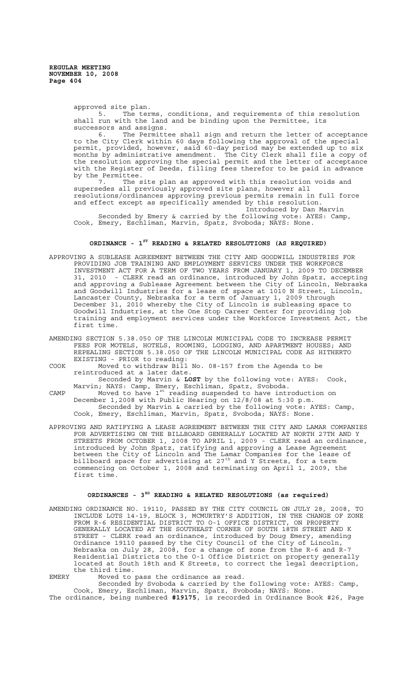> approved site plan.<br>5. The ter The terms, conditions, and requirements of this resolution shall run with the land and be binding upon the Permittee, its

successors and assigns. 6. The Permittee shall sign and return the letter of acceptance to the City Clerk within 60 days following the approval of the special permit, provided, however, said 60-day period may be extended up to six

months by administrative amendment. The City Clerk shall file a copy of the resolution approving the special permit and the letter of acceptance with the Register of Deeds, filling fees therefor to be paid in advance by the Permittee.

7. The site plan as approved with this resolution voids and supersedes all previously approved site plans, however all resolutions/ordinances approving previous permits remain in full force and effect except as specifically amended by this resolution. Introduced by Dan Marvin

Seconded by Emery & carried by the following vote: AYES: Camp, Cook, Emery, Eschliman, Marvin, Spatz, Svoboda; NAYS: None.

# **ORDINANCE - 1ST READING & RELATED RESOLUTIONS (AS REQUIRED)**

- APPROVING A SUBLEASE AGREEMENT BETWEEN THE CITY AND GOODWILL INDUSTRIES FOR PROVIDING JOB TRAINING AND EMPLOYMENT SERVICES UNDER THE WORKFORCE INVESTMENT ACT FOR A TERM OF TWO YEARS FROM JANUARY 1, 2009 TO DECEMBER 31, 2010 - CLERK read an ordinance, introduced by John Spatz, accepting and approving a Sublease Agreement between the City of Lincoln, Nebraska and Goodwill Industries for a lease of space at 1010 N Street, Lincoln, Lancaster County, Nebraska for a term of January 1, 2009 through December 31, 2010 whereby the City of Lincoln is subleasing space to Goodwill Industries, at the One Stop Career Center for providing job training and employment services under the Workforce Investment Act, the first time.
- AMENDING SECTION 5.38.050 OF THE LINCOLN MUNICIPAL CODE TO INCREASE PERMIT FEES FOR MOTELS, HOTELS, ROOMING, LODGING, AND APARTMENT HOUSES; AND REPEALING SECTION 5.38.050 OF THE LINCOLN MUNICIPAL CODE AS HITHERTO EXISTING - PRIOR to reading:
- COOK Moved to withdraw Bill No. 08-157 from the Agenda to be reintroduced at a later date.

Seconded by Marvin & **LOST** by the following vote: AYES: Cook, Marvin; NAYS: Camp, Emery, Eschliman, Spatz, Svoboda.

- CAMP  $M$  Moved to have  $1^{st}$  reading suspended to have introduction on December 1,2008 with Public Hearing on 12/8/08 at 5:30 p.m. Seconded by Marvin & carried by the following vote: AYES: Camp, Cook, Emery, Eschliman, Marvin, Spatz, Svoboda; NAYS: None.
- APPROVING AND RATIFYING A LEASE AGREEMENT BETWEEN THE CITY AND LAMAR COMPANIES FOR ADVERTISING ON THE BILLBOARD GENERALLY LOCATED AT NORTH 27TH AND Y STREETS FROM OCTOBER 1, 2008 TO APRIL 1, 2009 - CLERK read an ordinance, introduced by John Spatz, ratifying and approving a Lease Agreement between the City of Lincoln and The Lamar Companies for the lease of billboard space for advertising at 27<sup>th</sup> and Y Streets, for a term commencing on October 1, 2008 and terminating on April 1, 2009, the first time.

# **ORDINANCES - 3RD READING & RELATED RESOLUTIONS (as required)**

AMENDING ORDINANCE NO. 19110, PASSED BY THE CITY COUNCIL ON JULY 28, 2008, TO INCLUDE LOTS 14-19, BLOCK 3, MCMURTRY'S ADDITION, IN THE CHANGE OF ZONE FROM R-6 RESIDENTIAL DISTRICT TO O-1 OFFICE DISTRICT, ON PROPERTY GENERALLY LOCATED AT THE SOUTHEAST CORNER OF SOUTH 18TH STREET AND K STREET - CLERK read an ordinance, introduced by Doug Emery, amending Ordinance 19110 passed by the City Council of the City of Lincoln, Nebraska on July 28, 2008, for a change of zone from the R-6 and R-7 Residential Districts to the O-1 Office District on property generally located at South 18th and K Streets, to correct the legal description, the third time.

EMERY Moved to pass the ordinance as read.

Seconded by Svoboda & carried by the following vote: AYES: Camp, Cook, Emery, Eschliman, Marvin, Spatz, Svoboda; NAYS: None. The ordinance, being numbered **#19175**, is recorded in Ordinance Book #26, Page